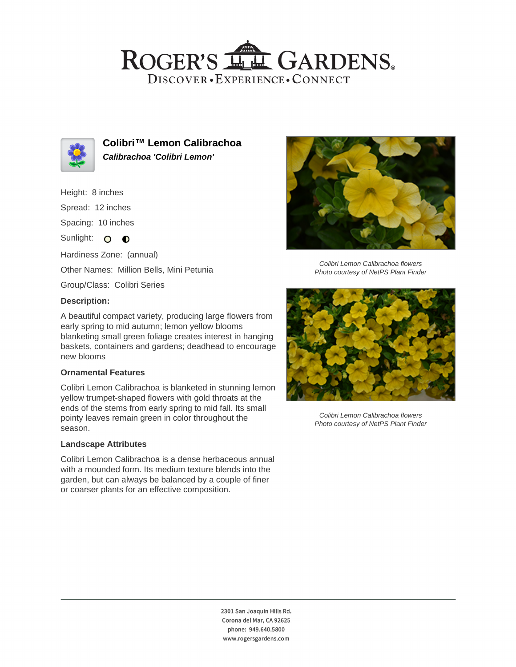## ROGER'S LL GARDENS. DISCOVER · EXPERIENCE · CONNECT



**Colibri™ Lemon Calibrachoa Calibrachoa 'Colibri Lemon'**

#### Height: 8 inches

Spread: 12 inches

Spacing: 10 inches

Sunlight: O O

Hardiness Zone: (annual)

Other Names: Million Bells, Mini Petunia

Group/Class: Colibri Series

#### **Description:**

A beautiful compact variety, producing large flowers from early spring to mid autumn; lemon yellow blooms blanketing small green foliage creates interest in hanging baskets, containers and gardens; deadhead to encourage new blooms

#### **Ornamental Features**

Colibri Lemon Calibrachoa is blanketed in stunning lemon yellow trumpet-shaped flowers with gold throats at the ends of the stems from early spring to mid fall. Its small pointy leaves remain green in color throughout the season.

#### **Landscape Attributes**

Colibri Lemon Calibrachoa is a dense herbaceous annual with a mounded form. Its medium texture blends into the garden, but can always be balanced by a couple of finer or coarser plants for an effective composition.



Colibri Lemon Calibrachoa flowers Photo courtesy of NetPS Plant Finder



Colibri Lemon Calibrachoa flowers Photo courtesy of NetPS Plant Finder

2301 San Joaquin Hills Rd. Corona del Mar, CA 92625 phone: 949.640.5800 www.rogersgardens.com